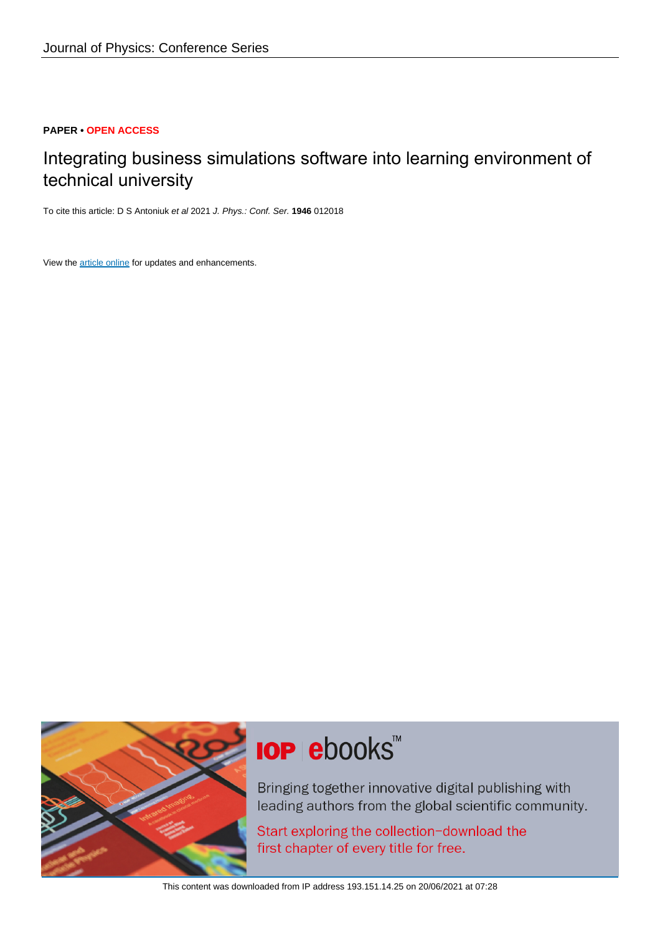## **PAPER • OPEN ACCESS**

# Integrating business simulations software into learning environment of technical university

To cite this article: D S Antoniuk et al 2021 J. Phys.: Conf. Ser. **1946** 012018

View the [article online](https://doi.org/10.1088/1742-6596/1946/1/012018) for updates and enhancements.



# **IOP ebooks**™

Bringing together innovative digital publishing with leading authors from the global scientific community.

Start exploring the collection-download the first chapter of every title for free.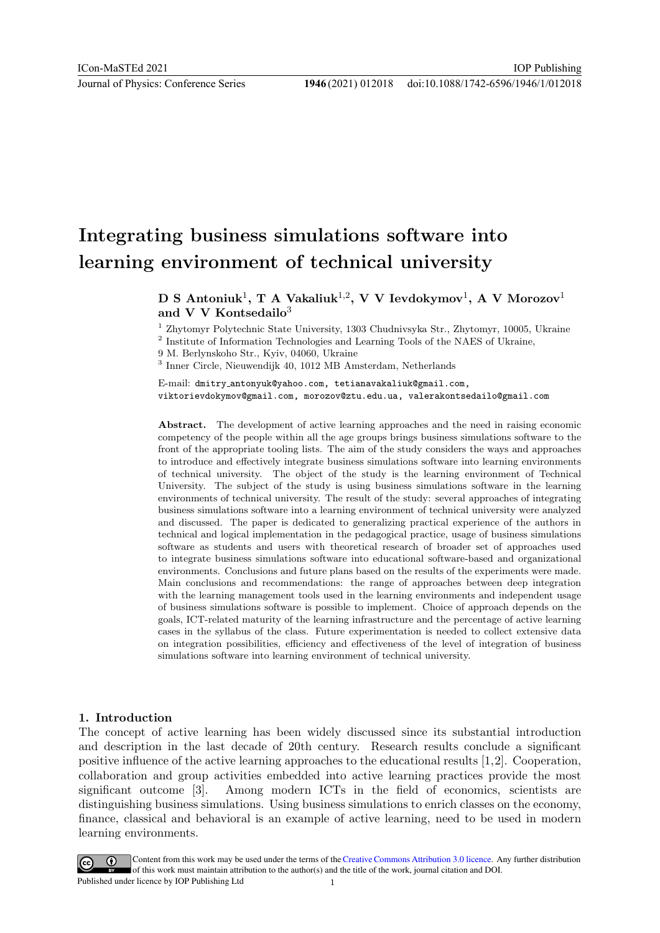# Integrating business simulations software into learning environment of technical university

# ${\bf D}$  S Antoniuk $^1,$  T A Vakaliuk $^{1,2},$  V V Ievdokymov $^1,$  A V Morozov $^1$ and V V Kontsedailo<sup>3</sup>

<sup>1</sup> Zhytomyr Polytechnic State University, 1303 Chudnivsyka Str., Zhytomyr, 10005, Ukraine

<sup>2</sup> Institute of Information Technologies and Learning Tools of the NAES of Ukraine,

9 M. Berlynskoho Str., Kyiv, 04060, Ukraine

3 Inner Circle, Nieuwendijk 40, 1012 MB Amsterdam, Netherlands

E-mail: dmitry antonyuk@yahoo.com, tetianavakaliuk@gmail.com, viktorievdokymov@gmail.com, morozov@ztu.edu.ua, valerakontsedailo@gmail.com

Abstract. The development of active learning approaches and the need in raising economic competency of the people within all the age groups brings business simulations software to the front of the appropriate tooling lists. The aim of the study considers the ways and approaches to introduce and effectively integrate business simulations software into learning environments of technical university. The object of the study is the learning environment of Technical University. The subject of the study is using business simulations software in the learning environments of technical university. The result of the study: several approaches of integrating business simulations software into a learning environment of technical university were analyzed and discussed. The paper is dedicated to generalizing practical experience of the authors in technical and logical implementation in the pedagogical practice, usage of business simulations software as students and users with theoretical research of broader set of approaches used to integrate business simulations software into educational software-based and organizational environments. Conclusions and future plans based on the results of the experiments were made. Main conclusions and recommendations: the range of approaches between deep integration with the learning management tools used in the learning environments and independent usage of business simulations software is possible to implement. Choice of approach depends on the goals, ICT-related maturity of the learning infrastructure and the percentage of active learning cases in the syllabus of the class. Future experimentation is needed to collect extensive data on integration possibilities, efficiency and effectiveness of the level of integration of business simulations software into learning environment of technical university.

## 1. Introduction

The concept of active learning has been widely discussed since its substantial introduction and description in the last decade of 20th century. Research results conclude a significant positive influence of the active learning approaches to the educational results [1,2]. Cooperation, collaboration and group activities embedded into active learning practices provide the most significant outcome [3]. Among modern ICTs in the field of economics, scientists are distinguishing business simulations. Using business simulations to enrich classes on the economy, finance, classical and behavioral is an example of active learning, need to be used in modern learning environments.

Content from this work may be used under the terms of the Creative Commons Attribution 3.0 licence. Any further distribution of this work must maintain attribution to the author(s) and the title of the work, journal citation and DOI. Published under licence by IOP Publishing Ltd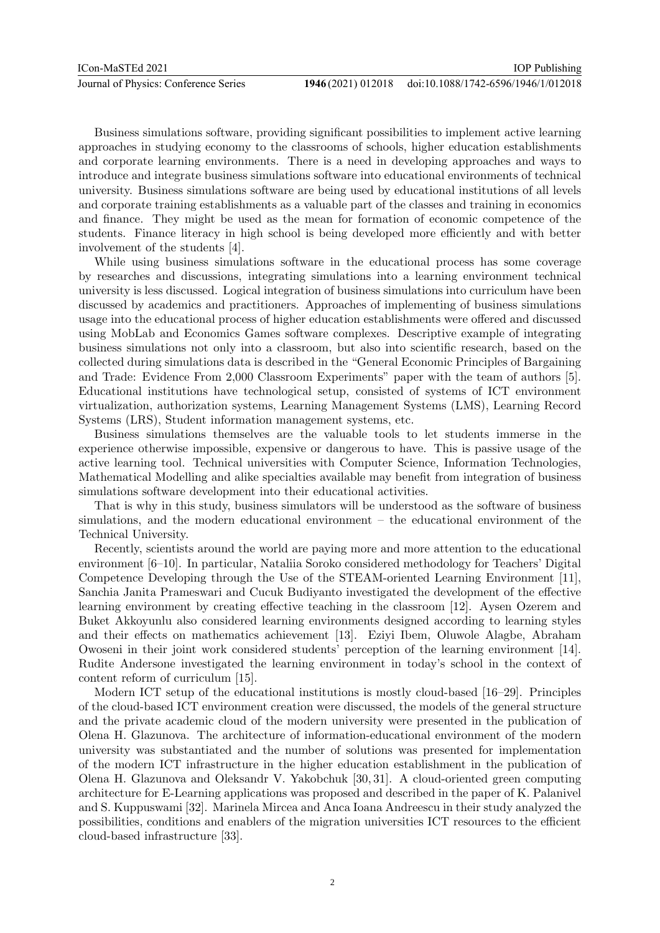Business simulations software, providing significant possibilities to implement active learning approaches in studying economy to the classrooms of schools, higher education establishments and corporate learning environments. There is a need in developing approaches and ways to introduce and integrate business simulations software into educational environments of technical university. Business simulations software are being used by educational institutions of all levels and corporate training establishments as a valuable part of the classes and training in economics and finance. They might be used as the mean for formation of economic competence of the students. Finance literacy in high school is being developed more efficiently and with better involvement of the students [4].

While using business simulations software in the educational process has some coverage by researches and discussions, integrating simulations into a learning environment technical university is less discussed. Logical integration of business simulations into curriculum have been discussed by academics and practitioners. Approaches of implementing of business simulations usage into the educational process of higher education establishments were offered and discussed using MobLab and Economics Games software complexes. Descriptive example of integrating business simulations not only into a classroom, but also into scientific research, based on the collected during simulations data is described in the "General Economic Principles of Bargaining and Trade: Evidence From 2,000 Classroom Experiments" paper with the team of authors [5]. Educational institutions have technological setup, consisted of systems of ICT environment virtualization, authorization systems, Learning Management Systems (LMS), Learning Record Systems (LRS), Student information management systems, etc.

Business simulations themselves are the valuable tools to let students immerse in the experience otherwise impossible, expensive or dangerous to have. This is passive usage of the active learning tool. Technical universities with Computer Science, Information Technologies, Mathematical Modelling and alike specialties available may benefit from integration of business simulations software development into their educational activities.

That is why in this study, business simulators will be understood as the software of business simulations, and the modern educational environment – the educational environment of the Technical University.

Recently, scientists around the world are paying more and more attention to the educational environment [6–10]. In particular, Nataliia Soroko considered methodology for Teachers' Digital Competence Developing through the Use of the STEAM-oriented Learning Environment [11], Sanchia Janita Prameswari and Cucuk Budiyanto investigated the development of the effective learning environment by creating effective teaching in the classroom [12]. Aysen Ozerem and Buket Akkoyunlu also considered learning environments designed according to learning styles and their effects on mathematics achievement [13]. Eziyi Ibem, Oluwole Alagbe, Abraham Owoseni in their joint work considered students' perception of the learning environment [14]. Rudite Andersone investigated the learning environment in today's school in the context of content reform of curriculum [15].

Modern ICT setup of the educational institutions is mostly cloud-based [16–29]. Principles of the cloud-based ICT environment creation were discussed, the models of the general structure and the private academic cloud of the modern university were presented in the publication of Olena H. Glazunova. The architecture of information-educational environment of the modern university was substantiated and the number of solutions was presented for implementation of the modern ICT infrastructure in the higher education establishment in the publication of Olena H. Glazunova and Oleksandr V. Yakobchuk [30, 31]. A cloud-oriented green computing architecture for E-Learning applications was proposed and described in the paper of K. Palanivel and S. Kuppuswami [32]. Marinela Mircea and Anca Ioana Andreescu in their study analyzed the possibilities, conditions and enablers of the migration universities ICT resources to the efficient cloud-based infrastructure [33].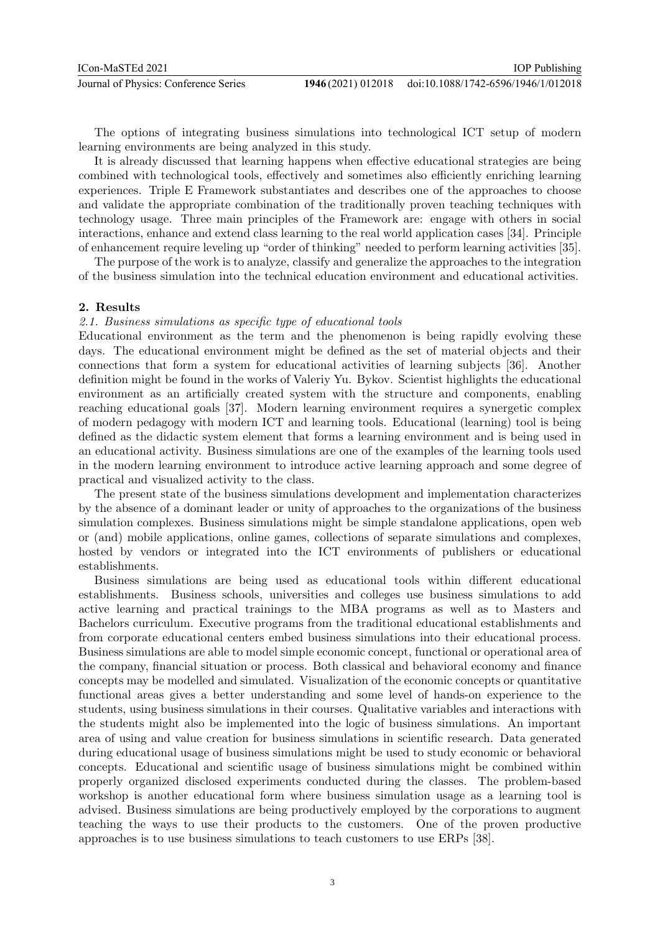The options of integrating business simulations into technological ICT setup of modern learning environments are being analyzed in this study.

It is already discussed that learning happens when effective educational strategies are being combined with technological tools, effectively and sometimes also efficiently enriching learning experiences. Triple E Framework substantiates and describes one of the approaches to choose and validate the appropriate combination of the traditionally proven teaching techniques with technology usage. Three main principles of the Framework are: engage with others in social interactions, enhance and extend class learning to the real world application cases [34]. Principle of enhancement require leveling up "order of thinking" needed to perform learning activities [35].

The purpose of the work is to analyze, classify and generalize the approaches to the integration of the business simulation into the technical education environment and educational activities.

#### 2. Results

#### 2.1. Business simulations as specific type of educational tools

Educational environment as the term and the phenomenon is being rapidly evolving these days. The educational environment might be defined as the set of material objects and their connections that form a system for educational activities of learning subjects [36]. Another definition might be found in the works of Valeriy Yu. Bykov. Scientist highlights the educational environment as an artificially created system with the structure and components, enabling reaching educational goals [37]. Modern learning environment requires a synergetic complex of modern pedagogy with modern ICT and learning tools. Educational (learning) tool is being defined as the didactic system element that forms a learning environment and is being used in an educational activity. Business simulations are one of the examples of the learning tools used in the modern learning environment to introduce active learning approach and some degree of practical and visualized activity to the class.

The present state of the business simulations development and implementation characterizes by the absence of a dominant leader or unity of approaches to the organizations of the business simulation complexes. Business simulations might be simple standalone applications, open web or (and) mobile applications, online games, collections of separate simulations and complexes, hosted by vendors or integrated into the ICT environments of publishers or educational establishments.

Business simulations are being used as educational tools within different educational establishments. Business schools, universities and colleges use business simulations to add active learning and practical trainings to the MBA programs as well as to Masters and Bachelors curriculum. Executive programs from the traditional educational establishments and from corporate educational centers embed business simulations into their educational process. Business simulations are able to model simple economic concept, functional or operational area of the company, financial situation or process. Both classical and behavioral economy and finance concepts may be modelled and simulated. Visualization of the economic concepts or quantitative functional areas gives a better understanding and some level of hands-on experience to the students, using business simulations in their courses. Qualitative variables and interactions with the students might also be implemented into the logic of business simulations. An important area of using and value creation for business simulations in scientific research. Data generated during educational usage of business simulations might be used to study economic or behavioral concepts. Educational and scientific usage of business simulations might be combined within properly organized disclosed experiments conducted during the classes. The problem-based workshop is another educational form where business simulation usage as a learning tool is advised. Business simulations are being productively employed by the corporations to augment teaching the ways to use their products to the customers. One of the proven productive approaches is to use business simulations to teach customers to use ERPs [38].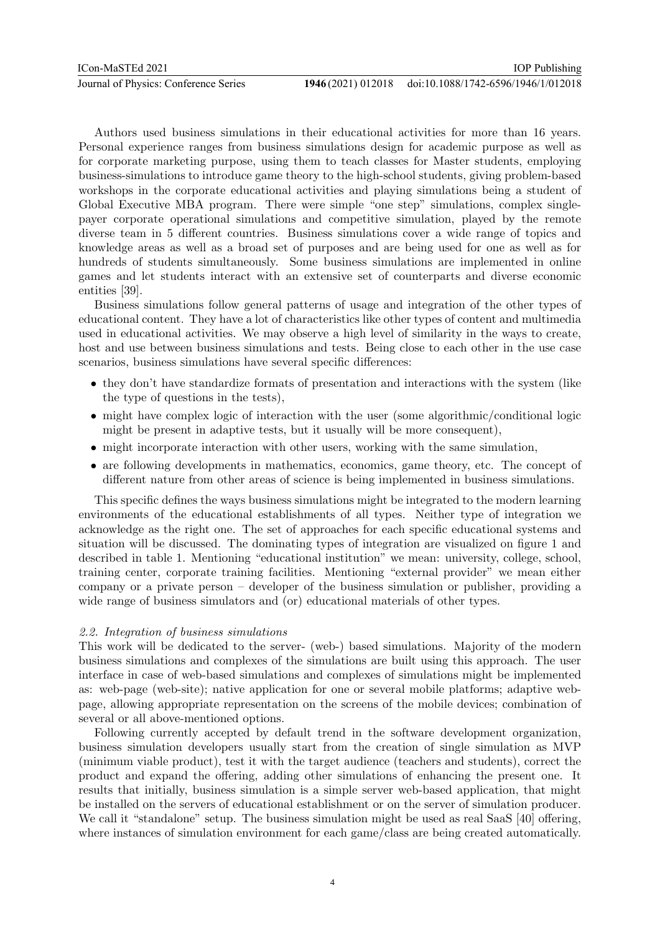Authors used business simulations in their educational activities for more than 16 years. Personal experience ranges from business simulations design for academic purpose as well as for corporate marketing purpose, using them to teach classes for Master students, employing business-simulations to introduce game theory to the high-school students, giving problem-based workshops in the corporate educational activities and playing simulations being a student of Global Executive MBA program. There were simple "one step" simulations, complex singlepayer corporate operational simulations and competitive simulation, played by the remote diverse team in 5 different countries. Business simulations cover a wide range of topics and knowledge areas as well as a broad set of purposes and are being used for one as well as for hundreds of students simultaneously. Some business simulations are implemented in online games and let students interact with an extensive set of counterparts and diverse economic entities [39].

Business simulations follow general patterns of usage and integration of the other types of educational content. They have a lot of characteristics like other types of content and multimedia used in educational activities. We may observe a high level of similarity in the ways to create, host and use between business simulations and tests. Being close to each other in the use case scenarios, business simulations have several specific differences:

- they don't have standardize formats of presentation and interactions with the system (like the type of questions in the tests),
- might have complex logic of interaction with the user (some algorithmic/conditional logic might be present in adaptive tests, but it usually will be more consequent),
- might incorporate interaction with other users, working with the same simulation,
- are following developments in mathematics, economics, game theory, etc. The concept of different nature from other areas of science is being implemented in business simulations.

This specific defines the ways business simulations might be integrated to the modern learning environments of the educational establishments of all types. Neither type of integration we acknowledge as the right one. The set of approaches for each specific educational systems and situation will be discussed. The dominating types of integration are visualized on figure 1 and described in table 1. Mentioning "educational institution" we mean: university, college, school, training center, corporate training facilities. Mentioning "external provider" we mean either company or a private person – developer of the business simulation or publisher, providing a wide range of business simulators and (or) educational materials of other types.

## 2.2. Integration of business simulations

This work will be dedicated to the server- (web-) based simulations. Majority of the modern business simulations and complexes of the simulations are built using this approach. The user interface in case of web-based simulations and complexes of simulations might be implemented as: web-page (web-site); native application for one or several mobile platforms; adaptive webpage, allowing appropriate representation on the screens of the mobile devices; combination of several or all above-mentioned options.

Following currently accepted by default trend in the software development organization, business simulation developers usually start from the creation of single simulation as MVP (minimum viable product), test it with the target audience (teachers and students), correct the product and expand the offering, adding other simulations of enhancing the present one. It results that initially, business simulation is a simple server web-based application, that might be installed on the servers of educational establishment or on the server of simulation producer. We call it "standalone" setup. The business simulation might be used as real SaaS [40] offering, where instances of simulation environment for each game/class are being created automatically.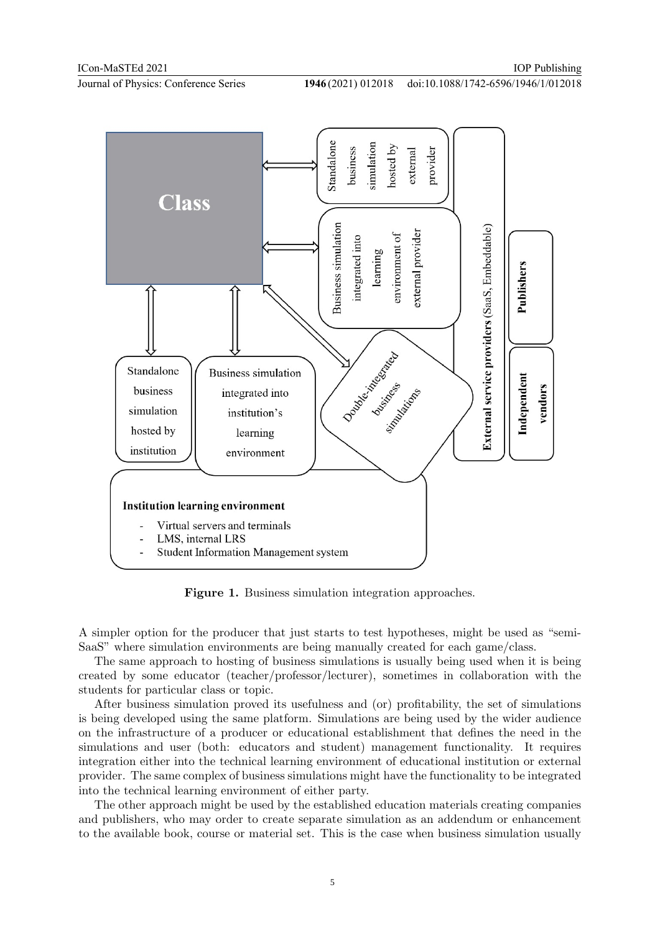

Figure 1. Business simulation integration approaches.

A simpler option for the producer that just starts to test hypotheses, might be used as "semi-SaaS" where simulation environments are being manually created for each game/class.

The same approach to hosting of business simulations is usually being used when it is being created by some educator (teacher/professor/lecturer), sometimes in collaboration with the students for particular class or topic.

After business simulation proved its usefulness and (or) profitability, the set of simulations is being developed using the same platform. Simulations are being used by the wider audience on the infrastructure of a producer or educational establishment that defines the need in the simulations and user (both: educators and student) management functionality. It requires integration either into the technical learning environment of educational institution or external provider. The same complex of business simulations might have the functionality to be integrated into the technical learning environment of either party.

The other approach might be used by the established education materials creating companies and publishers, who may order to create separate simulation as an addendum or enhancement to the available book, course or material set. This is the case when business simulation usually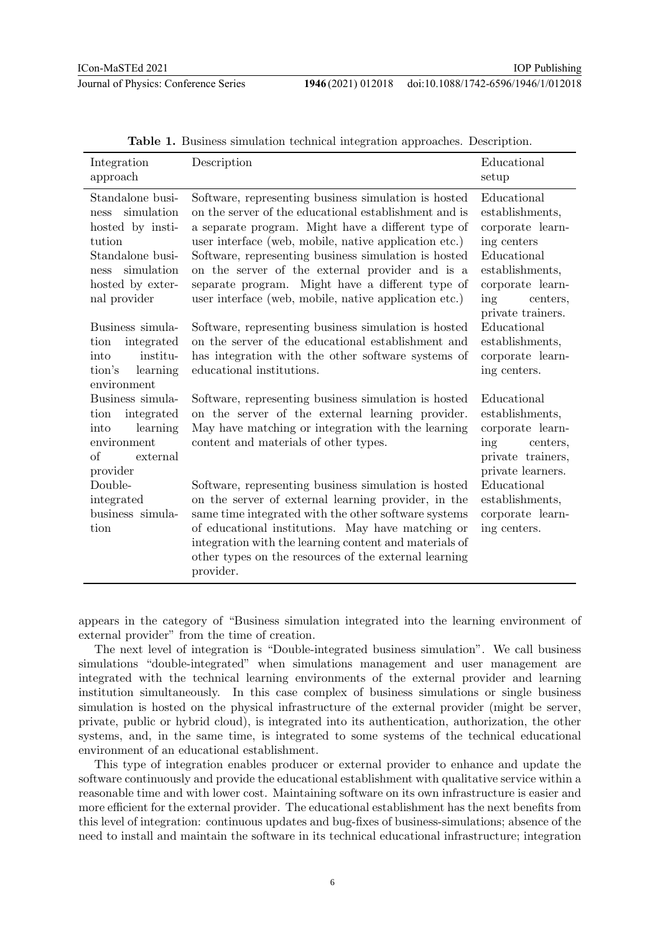| Integration<br>approach                                                                                                                                      | Description                                                                                                                                                                                                                                                                                                                                                                                                                                                                                                                                                         | Educational<br>setup                                                                                                                                                                                                                  |
|--------------------------------------------------------------------------------------------------------------------------------------------------------------|---------------------------------------------------------------------------------------------------------------------------------------------------------------------------------------------------------------------------------------------------------------------------------------------------------------------------------------------------------------------------------------------------------------------------------------------------------------------------------------------------------------------------------------------------------------------|---------------------------------------------------------------------------------------------------------------------------------------------------------------------------------------------------------------------------------------|
| Standalone busi-<br>simulation<br>ness<br>hosted by insti-<br>tution<br>Standalone busi-<br>simulation<br>ness<br>hosted by exter-<br>nal provider           | Software, representing business simulation is hosted<br>on the server of the educational establishment and is<br>a separate program. Might have a different type of<br>user interface (web, mobile, native application etc.)<br>Software, representing business simulation is hosted<br>on the server of the external provider and is a<br>separate program. Might have a different type of<br>user interface (web, mobile, native application etc.)                                                                                                                | Educational<br>establishments,<br>corporate learn-<br>ing centers<br>Educational<br>establishments,<br>corporate learn-<br>ing<br>centers,<br>private trainers.<br>Educational<br>establishments,<br>corporate learn-<br>ing centers. |
| Business simula-<br>integrated<br>tion<br>institu-<br>into<br>tion's<br>learning<br>environment                                                              | Software, representing business simulation is hosted<br>on the server of the educational establishment and<br>has integration with the other software systems of<br>educational institutions.                                                                                                                                                                                                                                                                                                                                                                       |                                                                                                                                                                                                                                       |
| Business simula-<br>integrated<br>tion<br>into<br>learning<br>environment<br>of<br>external<br>provider<br>Double-<br>integrated<br>business simula-<br>tion | Software, representing business simulation is hosted<br>on the server of the external learning provider.<br>May have matching or integration with the learning<br>content and materials of other types.<br>Software, representing business simulation is hosted<br>on the server of external learning provider, in the<br>same time integrated with the other software systems<br>of educational institutions. May have matching or<br>integration with the learning content and materials of<br>other types on the resources of the external learning<br>provider. | Educational<br>establishments,<br>corporate learn-<br>ing<br>centers,<br>private trainers,<br>private learners.<br>Educational<br>establishments,<br>corporate learn-<br>ing centers.                                                 |

Table 1. Business simulation technical integration approaches. Description.

appears in the category of "Business simulation integrated into the learning environment of external provider" from the time of creation.

The next level of integration is "Double-integrated business simulation". We call business simulations "double-integrated" when simulations management and user management are integrated with the technical learning environments of the external provider and learning institution simultaneously. In this case complex of business simulations or single business simulation is hosted on the physical infrastructure of the external provider (might be server, private, public or hybrid cloud), is integrated into its authentication, authorization, the other systems, and, in the same time, is integrated to some systems of the technical educational environment of an educational establishment.

This type of integration enables producer or external provider to enhance and update the software continuously and provide the educational establishment with qualitative service within a reasonable time and with lower cost. Maintaining software on its own infrastructure is easier and more efficient for the external provider. The educational establishment has the next benefits from this level of integration: continuous updates and bug-fixes of business-simulations; absence of the need to install and maintain the software in its technical educational infrastructure; integration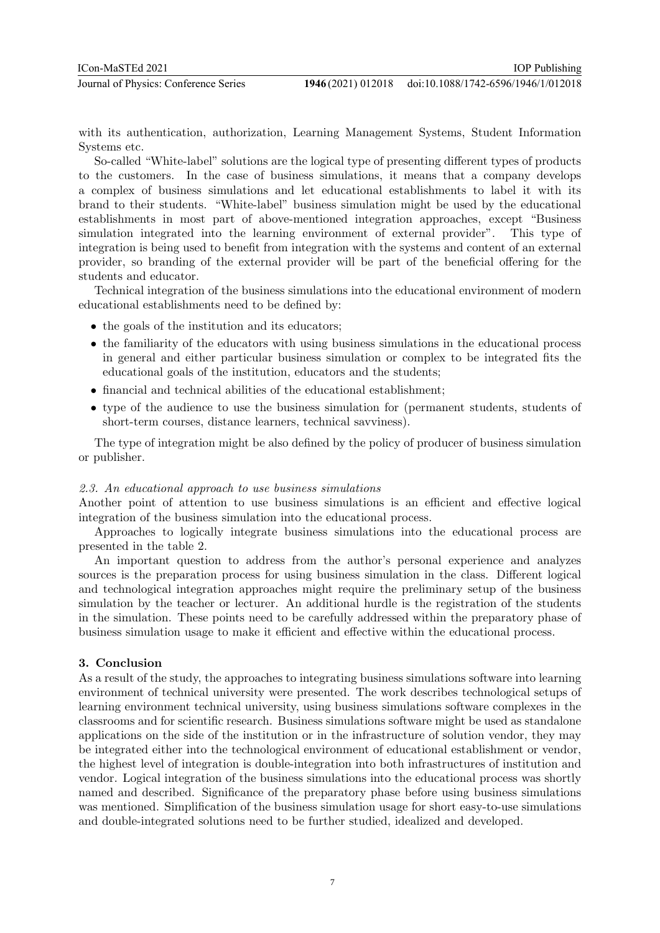with its authentication, authorization, Learning Management Systems, Student Information Systems etc.

So-called "White-label" solutions are the logical type of presenting different types of products to the customers. In the case of business simulations, it means that a company develops a complex of business simulations and let educational establishments to label it with its brand to their students. "White-label" business simulation might be used by the educational establishments in most part of above-mentioned integration approaches, except "Business simulation integrated into the learning environment of external provider". This type of integration is being used to benefit from integration with the systems and content of an external provider, so branding of the external provider will be part of the beneficial offering for the students and educator.

Technical integration of the business simulations into the educational environment of modern educational establishments need to be defined by:

- the goals of the institution and its educators;
- the familiarity of the educators with using business simulations in the educational process in general and either particular business simulation or complex to be integrated fits the educational goals of the institution, educators and the students;
- financial and technical abilities of the educational establishment;
- type of the audience to use the business simulation for (permanent students, students of short-term courses, distance learners, technical savviness).

The type of integration might be also defined by the policy of producer of business simulation or publisher.

#### 2.3. An educational approach to use business simulations

Another point of attention to use business simulations is an efficient and effective logical integration of the business simulation into the educational process.

Approaches to logically integrate business simulations into the educational process are presented in the table 2.

An important question to address from the author's personal experience and analyzes sources is the preparation process for using business simulation in the class. Different logical and technological integration approaches might require the preliminary setup of the business simulation by the teacher or lecturer. An additional hurdle is the registration of the students in the simulation. These points need to be carefully addressed within the preparatory phase of business simulation usage to make it efficient and effective within the educational process.

#### 3. Conclusion

As a result of the study, the approaches to integrating business simulations software into learning environment of technical university were presented. The work describes technological setups of learning environment technical university, using business simulations software complexes in the classrooms and for scientific research. Business simulations software might be used as standalone applications on the side of the institution or in the infrastructure of solution vendor, they may be integrated either into the technological environment of educational establishment or vendor, the highest level of integration is double-integration into both infrastructures of institution and vendor. Logical integration of the business simulations into the educational process was shortly named and described. Significance of the preparatory phase before using business simulations was mentioned. Simplification of the business simulation usage for short easy-to-use simulations and double-integrated solutions need to be further studied, idealized and developed.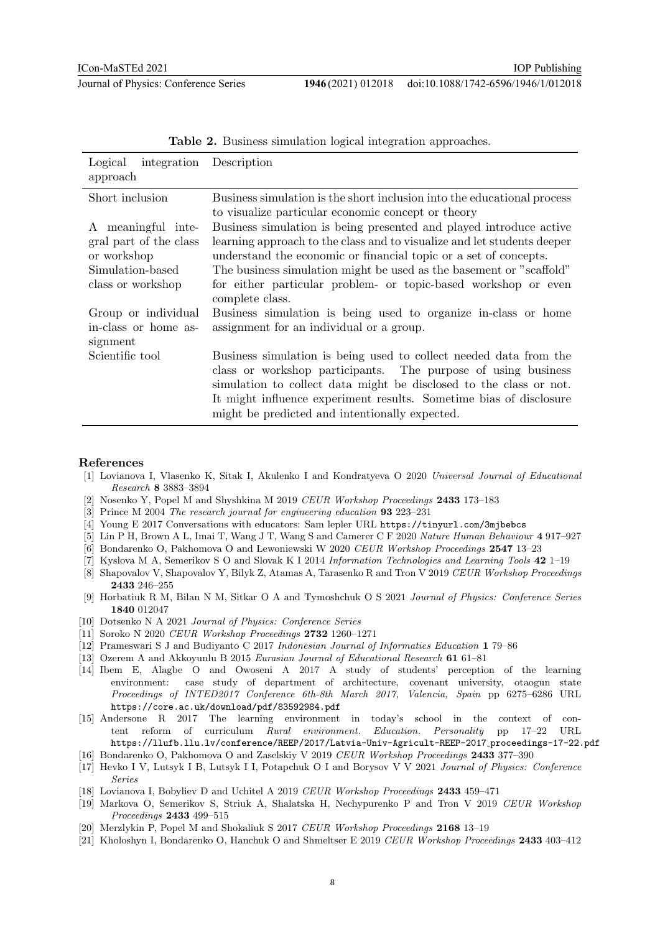| Logical<br>approach                                                             | integration Description                                                                                                                                                                                                                                                                                                          |
|---------------------------------------------------------------------------------|----------------------------------------------------------------------------------------------------------------------------------------------------------------------------------------------------------------------------------------------------------------------------------------------------------------------------------|
| Short inclusion                                                                 | Business simulation is the short inclusion into the educational process<br>to visualize particular economic concept or theory                                                                                                                                                                                                    |
| A meaningful inte-<br>gral part of the class<br>or workshop<br>Simulation-based | Business simulation is being presented and played introduce active<br>learning approach to the class and to visualize and let students deeper<br>understand the economic or financial topic or a set of concepts.<br>The business simulation might be used as the basement or "scaffold"                                         |
| class or workshop                                                               | for either particular problem- or topic-based workshop or even<br>complete class.                                                                                                                                                                                                                                                |
| Group or individual<br>in-class or home as-<br>signment                         | Business simulation is being used to organize in-class or home<br>assignment for an individual or a group.                                                                                                                                                                                                                       |
| Scientific tool                                                                 | Business simulation is being used to collect needed data from the<br>class or workshop participants. The purpose of using business<br>simulation to collect data might be disclosed to the class or not.<br>It might influence experiment results. Sometime bias of disclosure<br>might be predicted and intentionally expected. |

| Table 2. Business simulation logical integration approaches |  |  |  |
|-------------------------------------------------------------|--|--|--|
|-------------------------------------------------------------|--|--|--|

#### References

- [1] Lovianova I, Vlasenko K, Sitak I, Akulenko I and Kondratyeva O 2020 Universal Journal of Educational Research 8 3883–3894
- [2] Nosenko Y, Popel M and Shyshkina M 2019 CEUR Workshop Proceedings 2433 173–183
- [3] Prince M 2004 The research journal for engineering education 93 223–231
- [4] Young E 2017 Conversations with educators: Sam lepler URL https://tinyurl.com/3mjbebcs
- [5] Lin P H, Brown A L, Imai T, Wang J T, Wang S and Camerer C F 2020 Nature Human Behaviour 4 917–927
- [6] Bondarenko O, Pakhomova O and Lewoniewski W 2020 CEUR Workshop Proceedings 2547 13–23
- [7] Kyslova M A, Semerikov S O and Slovak K I 2014 Information Technologies and Learning Tools 42 1–19
- [8] Shapovalov V, Shapovalov Y, Bilyk Z, Atamas A, Tarasenko R and Tron V 2019 CEUR Workshop Proceedings 2433 246–255
- [9] Horbatiuk R M, Bilan N M, Sitkar O A and Tymoshchuk O S 2021 Journal of Physics: Conference Series 1840 012047
- [10] Dotsenko N A 2021 Journal of Physics: Conference Series
- [11] Soroko N 2020 CEUR Workshop Proceedings 2732 1260–1271
- [12] Prameswari S J and Budiyanto C 2017 Indonesian Journal of Informatics Education 1 79–86
- [13] Ozerem A and Akkoyunlu B 2015 Eurasian Journal of Educational Research 61 61–81
- [14] Ibem E, Alagbe O and Owoseni A 2017 A study of students' perception of the learning environment: case study of department of architecture, covenant university, otaogun state Proceedings of INTED2017 Conference 6th-8th March 2017, Valencia, Spain pp 6275–6286 URL https://core.ac.uk/download/pdf/83592984.pdf
- [15] Andersone R 2017 The learning environment in today's school in the context of content reform of curriculum Rural environment. Education. Personality pp 17–22 URL https://llufb.llu.lv/conference/REEP/2017/Latvia-Univ-Agricult-REEP-2017 proceedings-17-22.pdf
- [16] Bondarenko O, Pakhomova O and Zaselskiy V 2019 CEUR Workshop Proceedings 2433 377–390
- [17] Hevko I V, Lutsyk I B, Lutsyk I I, Potapchuk O I and Borysov V V 2021 Journal of Physics: Conference Series
- [18] Lovianova I, Bobyliev D and Uchitel A 2019 CEUR Workshop Proceedings 2433 459–471
- [19] Markova O, Semerikov S, Striuk A, Shalatska H, Nechypurenko P and Tron V 2019 CEUR Workshop Proceedings 2433 499–515
- [20] Merzlykin P, Popel M and Shokaliuk S 2017 CEUR Workshop Proceedings 2168 13-19
- [21] Kholoshyn I, Bondarenko O, Hanchuk O and Shmeltser E 2019 CEUR Workshop Proceedings 2433 403–412